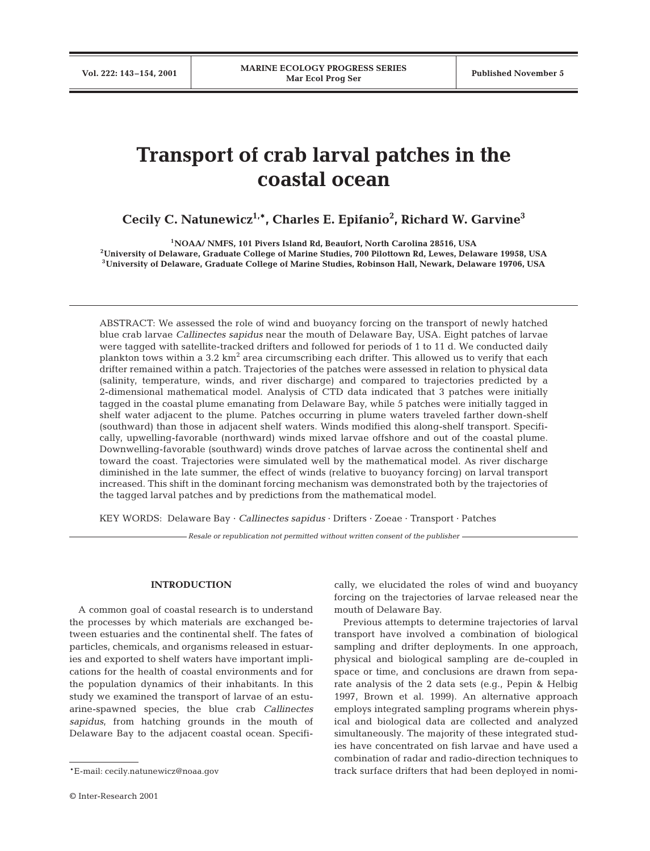# **Transport of crab larval patches in the coastal ocean**

**Cecily C. Natunewicz1,\*, Charles E. Epifanio2 , Richard W. Garvine3**

**1NOAA/ NMFS, 101 Pivers Island Rd, Beaufort, North Carolina 28516, USA 2University of Delaware, Graduate College of Marine Studies, 700 Pilottown Rd, Lewes, Delaware 19958, USA 3University of Delaware, Graduate College of Marine Studies, Robinson Hall, Newark, Delaware 19706, USA**

ABSTRACT: We assessed the role of wind and buoyancy forcing on the transport of newly hatched blue crab larvae *Callinectes sapidus* near the mouth of Delaware Bay, USA. Eight patches of larvae were tagged with satellite-tracked drifters and followed for periods of 1 to 11 d. We conducted daily plankton tows within a 3.2 km<sup>2</sup> area circumscribing each drifter. This allowed us to verify that each drifter remained within a patch. Trajectories of the patches were assessed in relation to physical data (salinity, temperature, winds, and river discharge) and compared to trajectories predicted by a 2-dimensional mathematical model. Analysis of CTD data indicated that 3 patches were initially tagged in the coastal plume emanating from Delaware Bay, while 5 patches were initially tagged in shelf water adjacent to the plume. Patches occurring in plume waters traveled farther down-shelf (southward) than those in adjacent shelf waters. Winds modified this along-shelf transport. Specifically, upwelling-favorable (northward) winds mixed larvae offshore and out of the coastal plume. Downwelling-favorable (southward) winds drove patches of larvae across the continental shelf and toward the coast. Trajectories were simulated well by the mathematical model. As river discharge diminished in the late summer, the effect of winds (relative to buoyancy forcing) on larval transport increased. This shift in the dominant forcing mechanism was demonstrated both by the trajectories of the tagged larval patches and by predictions from the mathematical model.

KEY WORDS: Delaware Bay · *Callinectes sapidus* · Drifters · Zoeae · Transport · Patches

*Resale or republication not permitted without written consent of the publisher*

## **INTRODUCTION**

A common goal of coastal research is to understand the processes by which materials are exchanged between estuaries and the continental shelf. The fates of particles, chemicals, and organisms released in estuaries and exported to shelf waters have important implications for the health of coastal environments and for the population dynamics of their inhabitants. In this study we examined the transport of larvae of an estuarine-spawned species, the blue crab *Callinectes sapidus*, from hatching grounds in the mouth of Delaware Bay to the adjacent coastal ocean. Specifi-

cally, we elucidated the roles of wind and buoyancy forcing on the trajectories of larvae released near the mouth of Delaware Bay.

Previous attempts to determine trajectories of larval transport have involved a combination of biological sampling and drifter deployments. In one approach, physical and biological sampling are de-coupled in space or time, and conclusions are drawn from separate analysis of the 2 data sets (e.g., Pepin & Helbig 1997, Brown et al. 1999). An alternative approach employs integrated sampling programs wherein physical and biological data are collected and analyzed simultaneously. The majority of these integrated studies have concentrated on fish larvae and have used a combination of radar and radio-direction techniques to track surface drifters that had been deployed in nomi-

<sup>\*</sup>E-mail: cecily.natunewicz@noaa.gov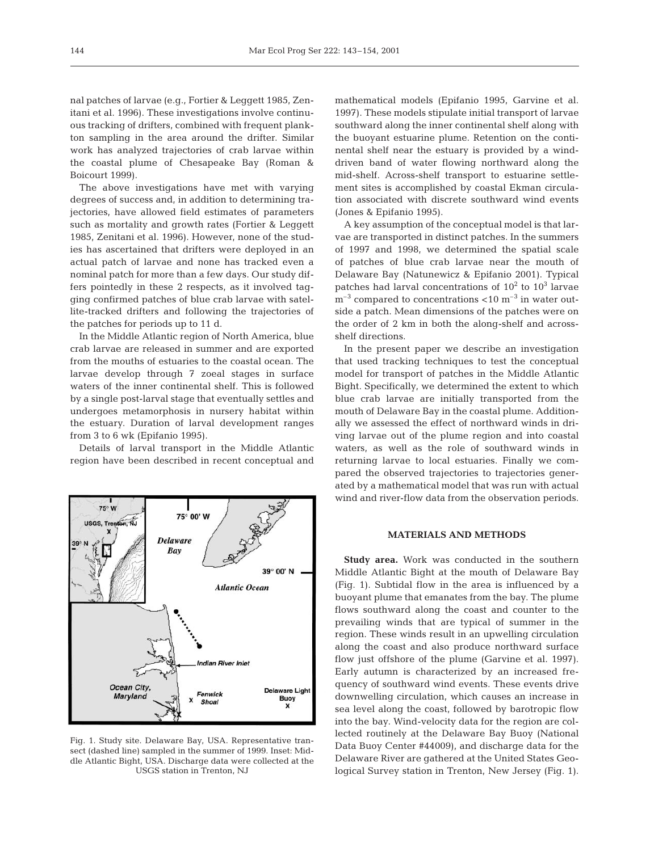nal patches of larvae (e.g., Fortier & Leggett 1985, Zenitani et al. 1996). These investigations involve continuous tracking of drifters, combined with frequent plankton sampling in the area around the drifter. Similar work has analyzed trajectories of crab larvae within the coastal plume of Chesapeake Bay (Roman & Boicourt 1999).

The above investigations have met with varying degrees of success and, in addition to determining trajectories, have allowed field estimates of parameters such as mortality and growth rates (Fortier & Leggett 1985, Zenitani et al. 1996). However, none of the studies has ascertained that drifters were deployed in an actual patch of larvae and none has tracked even a nominal patch for more than a few days. Our study differs pointedly in these 2 respects, as it involved tagging confirmed patches of blue crab larvae with satellite-tracked drifters and following the trajectories of the patches for periods up to 11 d.

In the Middle Atlantic region of North America, blue crab larvae are released in summer and are exported from the mouths of estuaries to the coastal ocean. The larvae develop through 7 zoeal stages in surface waters of the inner continental shelf. This is followed by a single post-larval stage that eventually settles and undergoes metamorphosis in nursery habitat within the estuary. Duration of larval development ranges from 3 to 6 wk (Epifanio 1995).

Details of larval transport in the Middle Atlantic region have been described in recent conceptual and



Fig. 1. Study site. Delaware Bay, USA. Representative transect (dashed line) sampled in the summer of 1999. Inset: Middle Atlantic Bight, USA. Discharge data were collected at the USGS station in Trenton, NJ

mathematical models (Epifanio 1995, Garvine et al. 1997). These models stipulate initial transport of larvae southward along the inner continental shelf along with the buoyant estuarine plume. Retention on the continental shelf near the estuary is provided by a winddriven band of water flowing northward along the mid-shelf. Across-shelf transport to estuarine settlement sites is accomplished by coastal Ekman circulation associated with discrete southward wind events (Jones & Epifanio 1995).

A key assumption of the conceptual model is that larvae are transported in distinct patches. In the summers of 1997 and 1998, we determined the spatial scale of patches of blue crab larvae near the mouth of Delaware Bay (Natunewicz & Epifanio 2001). Typical patches had larval concentrations of  $10^2$  to  $10^3$  larvae  $m^{-3}$  compared to concentrations <10  $m^{-3}$  in water outside a patch. Mean dimensions of the patches were on the order of 2 km in both the along-shelf and acrossshelf directions.

In the present paper we describe an investigation that used tracking techniques to test the conceptual model for transport of patches in the Middle Atlantic Bight. Specifically, we determined the extent to which blue crab larvae are initially transported from the mouth of Delaware Bay in the coastal plume. Additionally we assessed the effect of northward winds in driving larvae out of the plume region and into coastal waters, as well as the role of southward winds in returning larvae to local estuaries. Finally we compared the observed trajectories to trajectories generated by a mathematical model that was run with actual wind and river-flow data from the observation periods.

# **MATERIALS AND METHODS**

**Study area.** Work was conducted in the southern Middle Atlantic Bight at the mouth of Delaware Bay (Fig. 1). Subtidal flow in the area is influenced by a buoyant plume that emanates from the bay. The plume flows southward along the coast and counter to the prevailing winds that are typical of summer in the region. These winds result in an upwelling circulation along the coast and also produce northward surface flow just offshore of the plume (Garvine et al. 1997). Early autumn is characterized by an increased frequency of southward wind events. These events drive downwelling circulation, which causes an increase in sea level along the coast, followed by barotropic flow into the bay. Wind-velocity data for the region are collected routinely at the Delaware Bay Buoy (National Data Buoy Center #44009), and discharge data for the Delaware River are gathered at the United States Geological Survey station in Trenton, New Jersey (Fig. 1).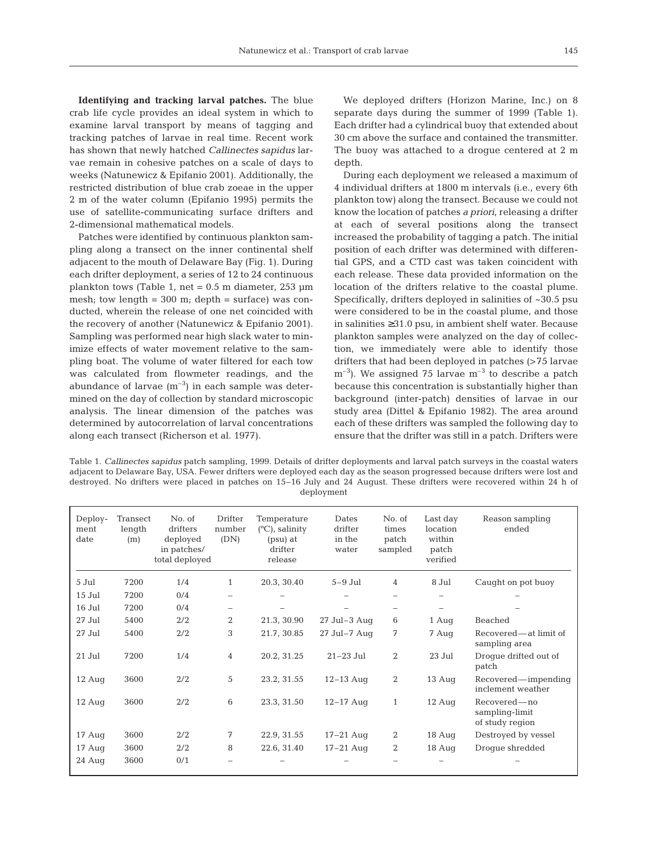**Identifying and tracking larval patches.** The blue crab life cycle provides an ideal system in which to examine larval transport by means of tagging and tracking patches of larvae in real time. Recent work has shown that newly hatched *Callinectes sapidus* larvae remain in cohesive patches on a scale of days to weeks (Natunewicz & Epifanio 2001). Additionally, the restricted distribution of blue crab zoeae in the upper 2 m of the water column (Epifanio 1995) permits the use of satellite-communicating surface drifters and 2-dimensional mathematical models.

Patches were identified by continuous plankton sampling along a transect on the inner continental shelf adjacent to the mouth of Delaware Bay (Fig. 1). During each drifter deployment, a series of 12 to 24 continuous plankton tows (Table 1, net =  $0.5$  m diameter, 253  $\mu$ m mesh; tow length =  $300$  m; depth = surface) was conducted, wherein the release of one net coincided with the recovery of another (Natunewicz & Epifanio 2001). Sampling was performed near high slack water to minimize effects of water movement relative to the sampling boat. The volume of water filtered for each tow was calculated from flowmeter readings, and the abundance of larvae  $(m^{-3})$  in each sample was determined on the day of collection by standard microscopic analysis. The linear dimension of the patches was determined by autocorrelation of larval concentrations along each transect (Richerson et al. 1977).

We deployed drifters (Horizon Marine, Inc.) on 8 separate days during the summer of 1999 (Table 1). Each drifter had a cylindrical buoy that extended about 30 cm above the surface and contained the transmitter. The buoy was attached to a drogue centered at 2 m depth.

During each deployment we released a maximum of 4 individual drifters at 1800 m intervals (i.e., every 6th plankton tow) along the transect. Because we could not know the location of patches *a priori*, releasing a drifter at each of several positions along the transect increased the probability of tagging a patch. The initial position of each drifter was determined with differential GPS, and a CTD cast was taken coincident with each release. These data provided information on the location of the drifters relative to the coastal plume. Specifically, drifters deployed in salinities of ~30.5 psu were considered to be in the coastal plume, and those in salinities ≥31.0 psu, in ambient shelf water. Because plankton samples were analyzed on the day of collection, we immediately were able to identify those drifters that had been deployed in patches (>75 larvae  $m^{-3}$ ). We assigned 75 larvae  $m^{-3}$  to describe a patch because this concentration is substantially higher than background (inter-patch) densities of larvae in our study area (Dittel & Epifanio 1982). The area around each of these drifters was sampled the following day to ensure that the drifter was still in a patch. Drifters were

Table 1. *Callinectes sapidus* patch sampling, 1999. Details of drifter deployments and larval patch surveys in the coastal waters adjacent to Delaware Bay, USA. Fewer drifters were deployed each day as the season progressed because drifters were lost and destroyed. No drifters were placed in patches on 15–16 July and 24 August. These drifters were recovered within 24 h of deployment

| Deploy-<br>ment<br>date | Transect<br>length<br>(m) | No. of<br>drifters<br>deployed<br>in patches/<br>total deployed | Drifter<br>number<br>(DN) | Temperature<br>$(^{\circ}C)$ , salinity<br>(psu) at<br>drifter<br>release | Dates<br>drifter<br>in the<br>water | No. of<br>times<br>patch<br>sampled | Last day<br>location<br>within<br>patch<br>verified | Reason sampling<br>ended                            |
|-------------------------|---------------------------|-----------------------------------------------------------------|---------------------------|---------------------------------------------------------------------------|-------------------------------------|-------------------------------------|-----------------------------------------------------|-----------------------------------------------------|
| 5 Jul                   | 7200                      | 1/4                                                             | $\mathbf{1}$              | 20.3, 30.40                                                               | $5-9$ Jul                           | $\overline{4}$                      | 8 Jul                                               | Caught on pot buoy                                  |
| 15 Jul                  | 7200                      | 0/4                                                             |                           |                                                                           |                                     |                                     |                                                     |                                                     |
| 16 Jul                  | 7200                      | 0/4                                                             |                           |                                                                           |                                     | -                                   |                                                     |                                                     |
| 27 Jul                  | 5400                      | 2/2                                                             | $\overline{2}$            | 21.3, 30.90                                                               | $27$ Jul-3 Auq                      | 6                                   | 1 Aug                                               | Beached                                             |
| 27 Jul                  | 5400                      | 2/2                                                             | 3                         | 21.7, 30.85                                                               | $27$ Jul-7 Aug                      | 7                                   | 7 Aug                                               | Recovered—at limit of<br>sampling area              |
| 21 Jul                  | 7200                      | 1/4                                                             | $\overline{4}$            | 20.2, 31.25                                                               | $21-23$ Jul                         | 2                                   | 23 Jul                                              | Droque drifted out of<br>patch                      |
| $12$ Aug                | 3600                      | 2/2                                                             | 5                         | 23.2, 31.55                                                               | $12-13$ Aug                         | 2                                   | $13$ Aug                                            | Recovered—impending<br>inclement weather            |
| $12$ Aug                | 3600                      | 2/2                                                             | 6                         | 23.3, 31.50                                                               | $12 - 17$ Aug                       | $\mathbf{1}$                        | $12 \text{ Aug}$                                    | Recovered — no<br>sampling-limit<br>of study region |
| $17 \text{ Aug}$        | 3600                      | 2/2                                                             | 7                         | 22.9, 31.55                                                               | $17-21$ Aug                         | 2                                   | $18$ Aug                                            | Destroyed by vessel                                 |
| $17 \text{ Aug}$        | 3600                      | 2/2                                                             | 8                         | 22.6, 31.40                                                               | $17-21$ Aug                         | 2                                   | 18 Aug                                              | Droque shredded                                     |
| 24 Aug                  | 3600                      | 0/1                                                             |                           |                                                                           |                                     |                                     |                                                     |                                                     |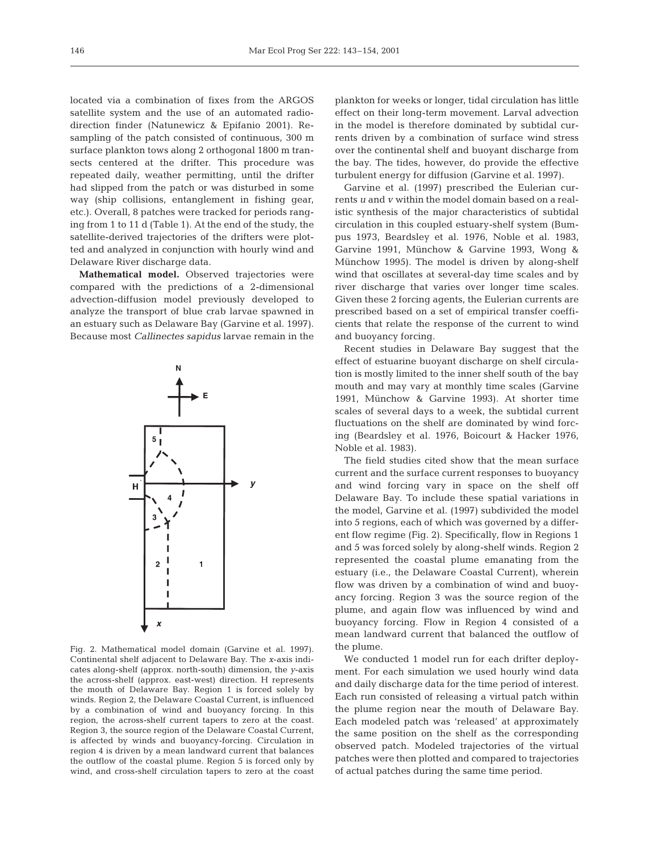located via a combination of fixes from the ARGOS satellite system and the use of an automated radiodirection finder (Natunewicz & Epifanio 2001). Resampling of the patch consisted of continuous, 300 m surface plankton tows along 2 orthogonal 1800 m transects centered at the drifter. This procedure was repeated daily, weather permitting, until the drifter had slipped from the patch or was disturbed in some way (ship collisions, entanglement in fishing gear, etc.). Overall, 8 patches were tracked for periods ranging from 1 to 11 d (Table 1). At the end of the study, the satellite-derived trajectories of the drifters were plotted and analyzed in conjunction with hourly wind and Delaware River discharge data.

**Mathematical model.** Observed trajectories were compared with the predictions of a 2-dimensional advection-diffusion model previously developed to analyze the transport of blue crab larvae spawned in an estuary such as Delaware Bay (Garvine et al. 1997). Because most *Callinectes sapidus* larvae remain in the



Fig. 2. Mathematical model domain (Garvine et al. 1997). Continental shelf adjacent to Delaware Bay. The *x*-axis indicates along-shelf (approx. north-south) dimension, the *y*-axis the across-shelf (approx. east-west) direction. H represents the mouth of Delaware Bay. Region 1 is forced solely by winds. Region 2, the Delaware Coastal Current, is influenced by a combination of wind and buoyancy forcing. In this region, the across-shelf current tapers to zero at the coast. Region 3, the source region of the Delaware Coastal Current, is affected by winds and buoyancy-forcing. Circulation in region 4 is driven by a mean landward current that balances the outflow of the coastal plume. Region 5 is forced only by wind, and cross-shelf circulation tapers to zero at the coast

plankton for weeks or longer, tidal circulation has little effect on their long-term movement. Larval advection in the model is therefore dominated by subtidal currents driven by a combination of surface wind stress over the continental shelf and buoyant discharge from the bay. The tides, however, do provide the effective turbulent energy for diffusion (Garvine et al. 1997).

Garvine et al. (1997) prescribed the Eulerian currents *u* and *v* within the model domain based on a realistic synthesis of the major characteristics of subtidal circulation in this coupled estuary-shelf system (Bumpus 1973, Beardsley et al. 1976, Noble et al. 1983, Garvine 1991, Münchow & Garvine 1993, Wong & Münchow 1995). The model is driven by along-shelf wind that oscillates at several-day time scales and by river discharge that varies over longer time scales. Given these 2 forcing agents, the Eulerian currents are prescribed based on a set of empirical transfer coefficients that relate the response of the current to wind and buoyancy forcing.

Recent studies in Delaware Bay suggest that the effect of estuarine buoyant discharge on shelf circulation is mostly limited to the inner shelf south of the bay mouth and may vary at monthly time scales (Garvine 1991, Münchow & Garvine 1993). At shorter time scales of several days to a week, the subtidal current fluctuations on the shelf are dominated by wind forcing (Beardsley et al. 1976, Boicourt & Hacker 1976, Noble et al. 1983).

The field studies cited show that the mean surface current and the surface current responses to buoyancy and wind forcing vary in space on the shelf off Delaware Bay. To include these spatial variations in the model, Garvine et al. (1997) subdivided the model into 5 regions, each of which was governed by a different flow regime (Fig. 2). Specifically, flow in Regions 1 and 5 was forced solely by along-shelf winds. Region 2 represented the coastal plume emanating from the estuary (i.e., the Delaware Coastal Current), wherein flow was driven by a combination of wind and buoyancy forcing. Region 3 was the source region of the plume, and again flow was influenced by wind and buoyancy forcing. Flow in Region 4 consisted of a mean landward current that balanced the outflow of the plume.

We conducted 1 model run for each drifter deployment. For each simulation we used hourly wind data and daily discharge data for the time period of interest. Each run consisted of releasing a virtual patch within the plume region near the mouth of Delaware Bay. Each modeled patch was 'released' at approximately the same position on the shelf as the corresponding observed patch. Modeled trajectories of the virtual patches were then plotted and compared to trajectories of actual patches during the same time period.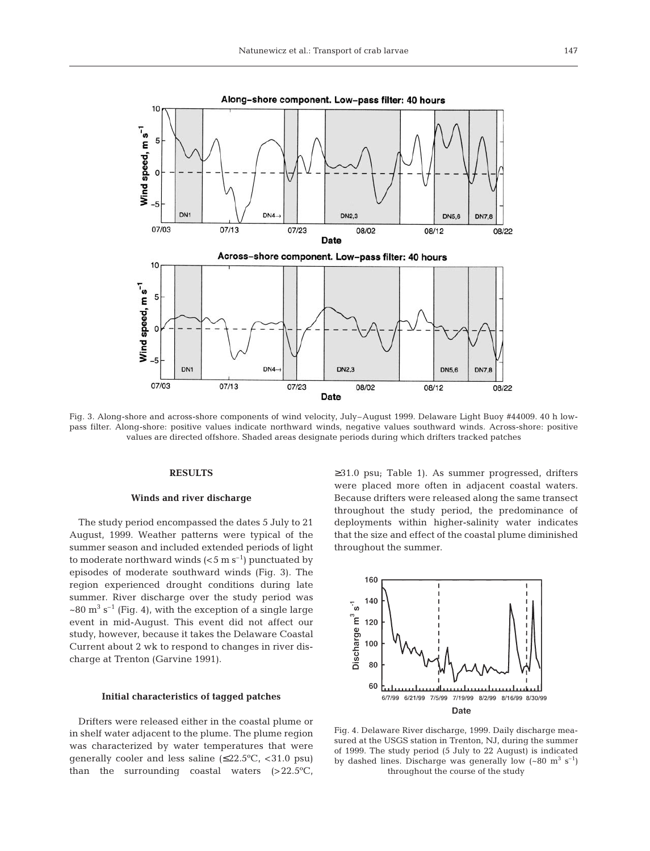

Fig. 3. Along-shore and across-shore components of wind velocity, July–August 1999. Delaware Light Buoy #44009. 40 h lowpass filter. Along-shore: positive values indicate northward winds, negative values southward winds. Across-shore: positive values are directed offshore. Shaded areas designate periods during which drifters tracked patches

## **RESULTS**

#### **Winds and river discharge**

The study period encompassed the dates 5 July to 21 August, 1999. Weather patterns were typical of the summer season and included extended periods of light to moderate northward winds  $(<5 \text{ m s}^{-1})$  punctuated by episodes of moderate southward winds (Fig. 3). The region experienced drought conditions during late summer. River discharge over the study period was  $\sim$ 80 m<sup>3</sup> s<sup>-1</sup> (Fig. 4), with the exception of a single large event in mid-August. This event did not affect our study, however, because it takes the Delaware Coastal Current about 2 wk to respond to changes in river discharge at Trenton (Garvine 1991).

### **Initial characteristics of tagged patches**

Drifters were released either in the coastal plume or in shelf water adjacent to the plume. The plume region was characterized by water temperatures that were generally cooler and less saline  $(≤22.5°C, <31.0 psu)$ than the surrounding coastal waters (>22.5ºC, ≥31.0 psu; Table 1). As summer progressed, drifters were placed more often in adjacent coastal waters. Because drifters were released along the same transect throughout the study period, the predominance of deployments within higher-salinity water indicates that the size and effect of the coastal plume diminished throughout the summer.



Fig. 4. Delaware River discharge, 1999. Daily discharge measured at the USGS station in Trenton, NJ, during the summer of 1999. The study period (5 July to 22 August) is indicated by dashed lines. Discharge was generally low  $({\sim}80 \text{ m}^3 \text{ s}^{-1})$ throughout the course of the study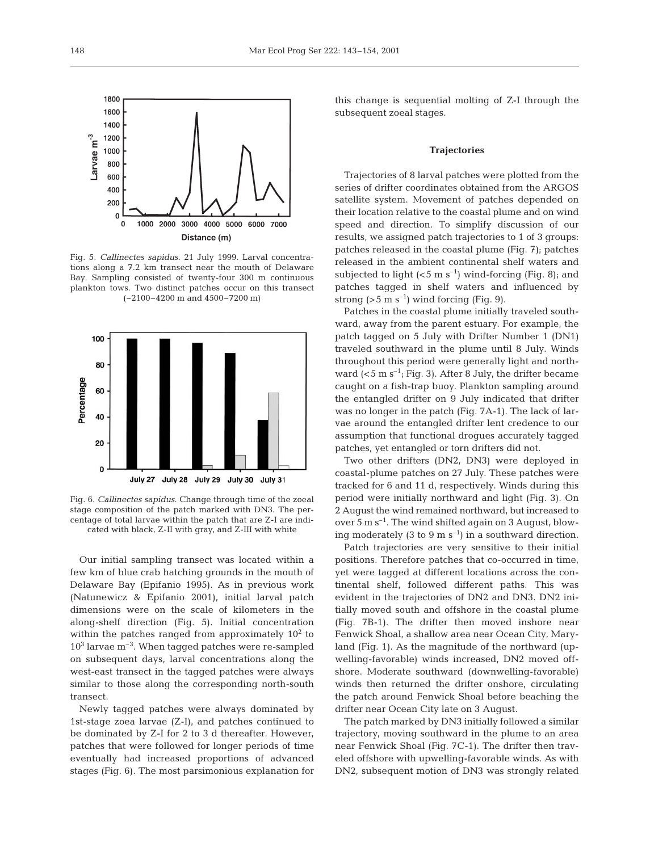

Fig. 5. *Callinectes sapidus*. 21 July 1999. Larval concentrations along a 7.2 km transect near the mouth of Delaware Bay. Sampling consisted of twenty-four 300 m continuous plankton tows. Two distinct patches occur on this transect (~2100–4200 m and 4500–7200 m)



Fig. 6. *Callinectes sapidus*. Change through time of the zoeal stage composition of the patch marked with DN3. The percentage of total larvae within the patch that are Z-I are indicated with black, Z-II with gray, and Z-III with white

Our initial sampling transect was located within a few km of blue crab hatching grounds in the mouth of Delaware Bay (Epifanio 1995). As in previous work (Natunewicz & Epifanio 2001), initial larval patch dimensions were on the scale of kilometers in the along-shelf direction (Fig. 5). Initial concentration within the patches ranged from approximately  $10<sup>2</sup>$  to  $10<sup>3</sup>$  larvae m<sup>-3</sup>. When tagged patches were re-sampled on subsequent days, larval concentrations along the west-east transect in the tagged patches were always similar to those along the corresponding north-south transect.

Newly tagged patches were always dominated by 1st-stage zoea larvae (Z-I), and patches continued to be dominated by Z-I for 2 to 3 d thereafter. However, patches that were followed for longer periods of time eventually had increased proportions of advanced stages (Fig. 6). The most parsimonious explanation for

this change is sequential molting of Z-I through the subsequent zoeal stages.

#### **Trajectories**

Trajectories of 8 larval patches were plotted from the series of drifter coordinates obtained from the ARGOS satellite system. Movement of patches depended on their location relative to the coastal plume and on wind speed and direction. To simplify discussion of our results, we assigned patch trajectories to 1 of 3 groups: patches released in the coastal plume (Fig. 7); patches released in the ambient continental shelf waters and subjected to light  $(<5 \text{ m s}^{-1})$  wind-forcing (Fig. 8); and patches tagged in shelf waters and influenced by strong ( $>5$  m s<sup>-1</sup>) wind forcing (Fig. 9).

Patches in the coastal plume initially traveled southward, away from the parent estuary. For example, the patch tagged on 5 July with Drifter Number 1 (DN1) traveled southward in the plume until 8 July. Winds throughout this period were generally light and northward  $(<5 \text{ m s}^{-1}$ ; Fig. 3). After 8 July, the drifter became caught on a fish-trap buoy. Plankton sampling around the entangled drifter on 9 July indicated that drifter was no longer in the patch (Fig. 7A-1). The lack of larvae around the entangled drifter lent credence to our assumption that functional drogues accurately tagged patches, yet entangled or torn drifters did not.

Two other drifters (DN2, DN3) were deployed in coastal-plume patches on 27 July. These patches were tracked for 6 and 11 d, respectively. Winds during this period were initially northward and light (Fig. 3). On 2 August the wind remained northward, but increased to over 5 m  $s^{-1}$ . The wind shifted again on 3 August, blowing moderately (3 to 9 m  $s^{-1}$ ) in a southward direction.

Patch trajectories are very sensitive to their initial positions. Therefore patches that co-occurred in time, yet were tagged at different locations across the continental shelf, followed different paths. This was evident in the trajectories of DN2 and DN3. DN2 initially moved south and offshore in the coastal plume (Fig. 7B-1). The drifter then moved inshore near Fenwick Shoal, a shallow area near Ocean City, Maryland (Fig. 1). As the magnitude of the northward (upwelling-favorable) winds increased, DN2 moved offshore. Moderate southward (downwelling-favorable) winds then returned the drifter onshore, circulating the patch around Fenwick Shoal before beaching the drifter near Ocean City late on 3 August.

The patch marked by DN3 initially followed a similar trajectory, moving southward in the plume to an area near Fenwick Shoal (Fig. 7C-1). The drifter then traveled offshore with upwelling-favorable winds. As with DN2, subsequent motion of DN3 was strongly related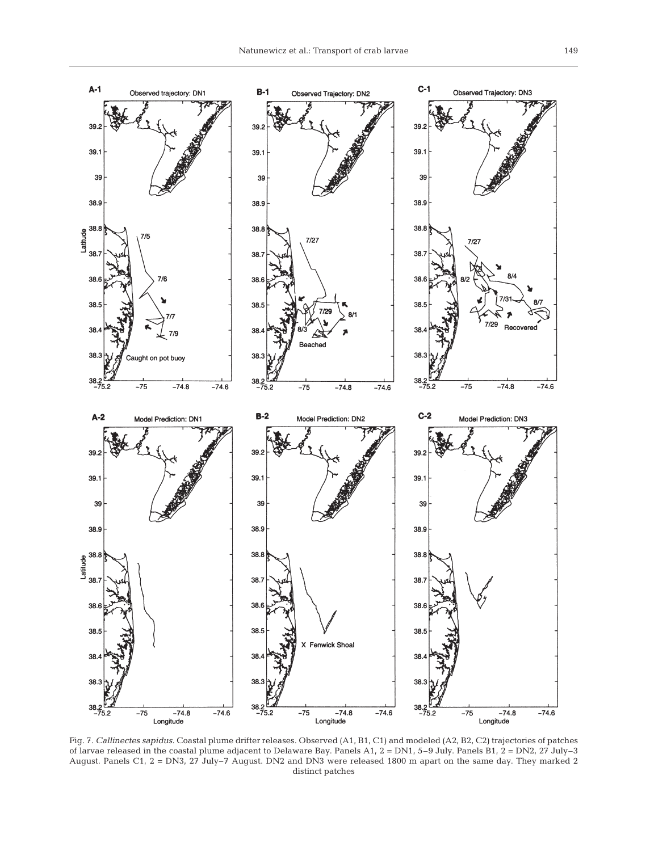

Fig. 7. *Callinectes sapidus.* Coastal plume drifter releases. Observed (A1, B1, C1) and modeled (A2, B2, C2) trajectories of patches of larvae released in the coastal plume adjacent to Delaware Bay. Panels A1, 2 = DN1, 5–9 July. Panels B1, 2 = DN2, 27 July–3 August. Panels C1, 2 = DN3, 27 July–7 August. DN2 and DN3 were released 1800 m apart on the same day. They marked 2 distinct patches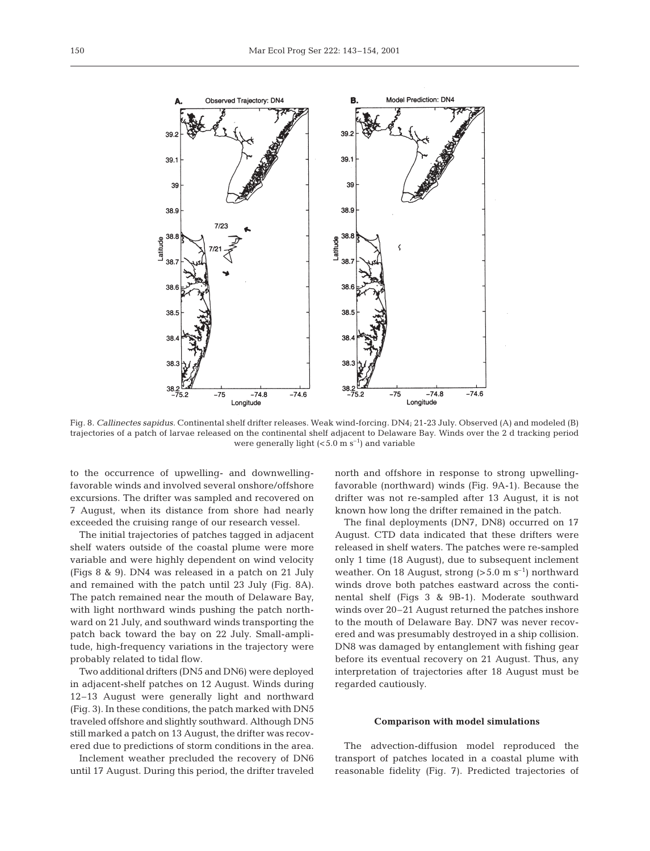

Fig. 8. *Callinectes sapidus.* Continental shelf drifter releases. Weak wind-forcing. DN4; 21-23 July. Observed (A) and modeled (B) trajectories of a patch of larvae released on the continental shelf adjacent to Delaware Bay. Winds over the 2 d tracking period were generally light  $( $5.0 \text{ m s}^{-1}$ )$  and variable

to the occurrence of upwelling- and downwellingfavorable winds and involved several onshore/offshore excursions. The drifter was sampled and recovered on 7 August, when its distance from shore had nearly exceeded the cruising range of our research vessel.

The initial trajectories of patches tagged in adjacent shelf waters outside of the coastal plume were more variable and were highly dependent on wind velocity (Figs 8 & 9). DN4 was released in a patch on 21 July and remained with the patch until 23 July (Fig. 8A). The patch remained near the mouth of Delaware Bay, with light northward winds pushing the patch northward on 21 July, and southward winds transporting the patch back toward the bay on 22 July. Small-amplitude, high-frequency variations in the trajectory were probably related to tidal flow.

Two additional drifters (DN5 and DN6) were deployed in adjacent-shelf patches on 12 August. Winds during 12–13 August were generally light and northward (Fig. 3). In these conditions, the patch marked with DN5 traveled offshore and slightly southward. Although DN5 still marked a patch on 13 August, the drifter was recovered due to predictions of storm conditions in the area.

Inclement weather precluded the recovery of DN6 until 17 August. During this period, the drifter traveled north and offshore in response to strong upwellingfavorable (northward) winds (Fig. 9A-1). Because the drifter was not re-sampled after 13 August, it is not known how long the drifter remained in the patch.

The final deployments (DN7, DN8) occurred on 17 August. CTD data indicated that these drifters were released in shelf waters. The patches were re-sampled only 1 time (18 August), due to subsequent inclement weather. On 18 August, strong  $(>5.0 \text{ m s}^{-1})$  northward winds drove both patches eastward across the continental shelf (Figs 3 & 9B-1). Moderate southward winds over 20–21 August returned the patches inshore to the mouth of Delaware Bay. DN7 was never recovered and was presumably destroyed in a ship collision. DN8 was damaged by entanglement with fishing gear before its eventual recovery on 21 August. Thus, any interpretation of trajectories after 18 August must be regarded cautiously.

#### **Comparison with model simulations**

The advection-diffusion model reproduced the transport of patches located in a coastal plume with reasonable fidelity (Fig. 7). Predicted trajectories of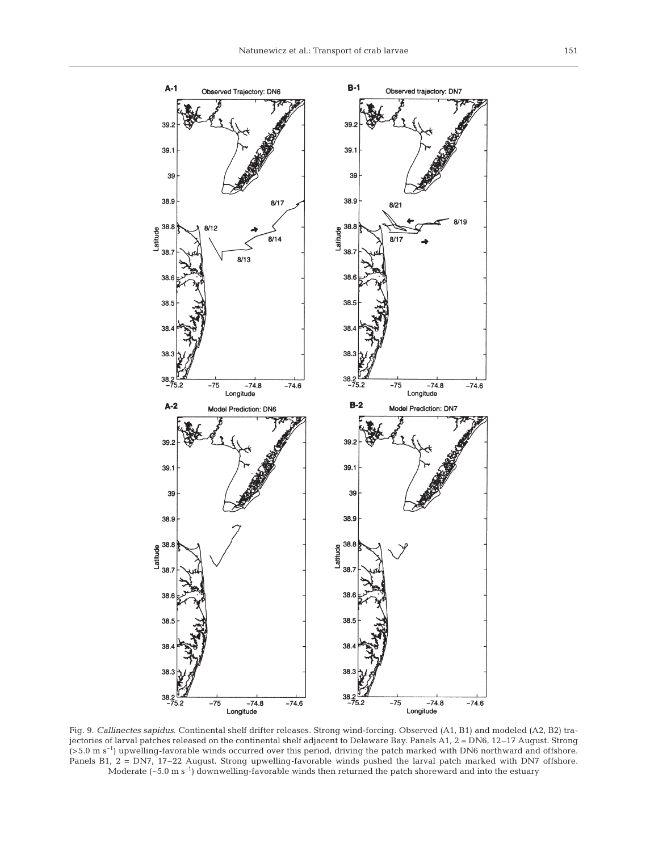

Fig. 9. *Callinectes sapidus*. Continental shelf drifter releases. Strong wind-forcing. Observed (A1, B1) and modeled (A2, B2) trajectories of larval patches released on the continental shelf adjacent to Delaware Bay. Panels A1, 2 = DN6, 12–17 August. Strong (>5.0 m s–1) upwelling-favorable winds occurred over this period, driving the patch marked with DN6 northward and offshore. Panels B1, 2 = DN7, 17–22 August. Strong upwelling-favorable winds pushed the larval patch marked with DN7 offshore. Moderate  $(-5.0 \text{ m s}^{-1})$  downwelling-favorable winds then returned the patch shoreward and into the estuary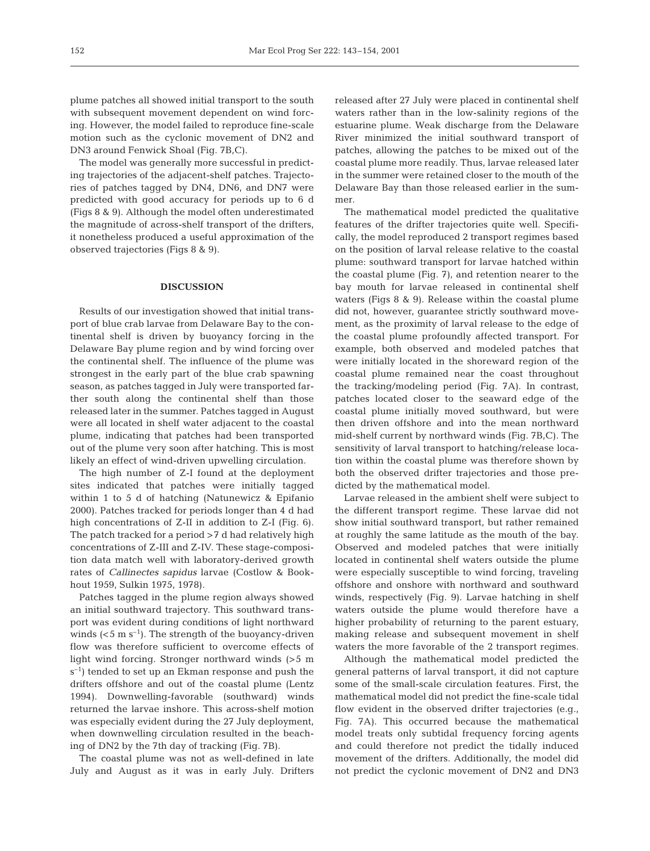plume patches all showed initial transport to the south with subsequent movement dependent on wind forcing. However, the model failed to reproduce fine-scale motion such as the cyclonic movement of DN2 and DN3 around Fenwick Shoal (Fig. 7B,C).

The model was generally more successful in predicting trajectories of the adjacent-shelf patches. Trajectories of patches tagged by DN4, DN6, and DN7 were predicted with good accuracy for periods up to 6 d (Figs 8 & 9). Although the model often underestimated the magnitude of across-shelf transport of the drifters, it nonetheless produced a useful approximation of the observed trajectories (Figs 8 & 9).

## **DISCUSSION**

Results of our investigation showed that initial transport of blue crab larvae from Delaware Bay to the continental shelf is driven by buoyancy forcing in the Delaware Bay plume region and by wind forcing over the continental shelf. The influence of the plume was strongest in the early part of the blue crab spawning season, as patches tagged in July were transported farther south along the continental shelf than those released later in the summer. Patches tagged in August were all located in shelf water adjacent to the coastal plume, indicating that patches had been transported out of the plume very soon after hatching. This is most likely an effect of wind-driven upwelling circulation.

The high number of Z-I found at the deployment sites indicated that patches were initially tagged within 1 to 5 d of hatching (Natunewicz & Epifanio 2000). Patches tracked for periods longer than 4 d had high concentrations of Z-II in addition to Z-I (Fig. 6). The patch tracked for a period >7 d had relatively high concentrations of Z-III and Z-IV. These stage-composition data match well with laboratory-derived growth rates of *Callinectes sapidus* larvae (Costlow & Bookhout 1959, Sulkin 1975, 1978).

Patches tagged in the plume region always showed an initial southward trajectory. This southward transport was evident during conditions of light northward winds  $(<5 \text{ m s}^{-1})$ . The strength of the buoyancy-driven flow was therefore sufficient to overcome effects of light wind forcing. Stronger northward winds (>5 m  $s^{-1}$ ) tended to set up an Ekman response and push the drifters offshore and out of the coastal plume (Lentz 1994). Downwelling-favorable (southward) winds returned the larvae inshore. This across-shelf motion was especially evident during the 27 July deployment, when downwelling circulation resulted in the beaching of DN2 by the 7th day of tracking (Fig. 7B).

The coastal plume was not as well-defined in late July and August as it was in early July. Drifters

released after 27 July were placed in continental shelf waters rather than in the low-salinity regions of the estuarine plume. Weak discharge from the Delaware River minimized the initial southward transport of patches, allowing the patches to be mixed out of the coastal plume more readily. Thus, larvae released later in the summer were retained closer to the mouth of the Delaware Bay than those released earlier in the summer.

The mathematical model predicted the qualitative features of the drifter trajectories quite well. Specifically, the model reproduced 2 transport regimes based on the position of larval release relative to the coastal plume: southward transport for larvae hatched within the coastal plume (Fig. 7), and retention nearer to the bay mouth for larvae released in continental shelf waters (Figs 8 & 9). Release within the coastal plume did not, however, guarantee strictly southward movement, as the proximity of larval release to the edge of the coastal plume profoundly affected transport. For example, both observed and modeled patches that were initially located in the shoreward region of the coastal plume remained near the coast throughout the tracking/modeling period (Fig. 7A). In contrast, patches located closer to the seaward edge of the coastal plume initially moved southward, but were then driven offshore and into the mean northward mid-shelf current by northward winds (Fig. 7B,C). The sensitivity of larval transport to hatching/release location within the coastal plume was therefore shown by both the observed drifter trajectories and those predicted by the mathematical model.

Larvae released in the ambient shelf were subject to the different transport regime. These larvae did not show initial southward transport, but rather remained at roughly the same latitude as the mouth of the bay. Observed and modeled patches that were initially located in continental shelf waters outside the plume were especially susceptible to wind forcing, traveling offshore and onshore with northward and southward winds, respectively (Fig. 9). Larvae hatching in shelf waters outside the plume would therefore have a higher probability of returning to the parent estuary, making release and subsequent movement in shelf waters the more favorable of the 2 transport regimes.

Although the mathematical model predicted the general patterns of larval transport, it did not capture some of the small-scale circulation features. First, the mathematical model did not predict the fine-scale tidal flow evident in the observed drifter trajectories (e.g., Fig. 7A). This occurred because the mathematical model treats only subtidal frequency forcing agents and could therefore not predict the tidally induced movement of the drifters. Additionally, the model did not predict the cyclonic movement of DN2 and DN3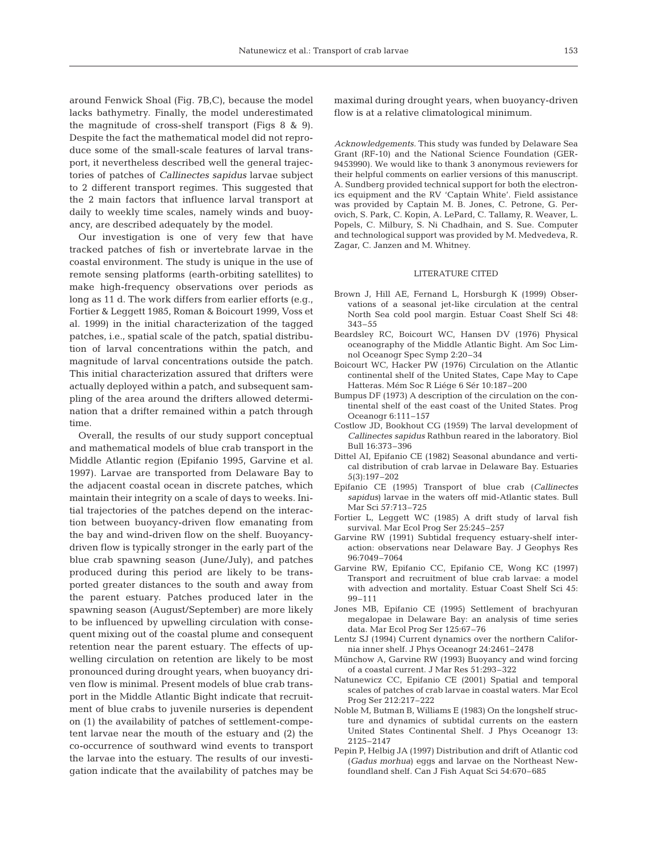around Fenwick Shoal (Fig. 7B,C), because the model lacks bathymetry. Finally, the model underestimated the magnitude of cross-shelf transport (Figs 8 & 9). Despite the fact the mathematical model did not reproduce some of the small-scale features of larval transport, it nevertheless described well the general trajectories of patches of *Callinectes sapidus* larvae subject to 2 different transport regimes. This suggested that the 2 main factors that influence larval transport at daily to weekly time scales, namely winds and buoyancy, are described adequately by the model.

Our investigation is one of very few that have tracked patches of fish or invertebrate larvae in the coastal environment. The study is unique in the use of remote sensing platforms (earth-orbiting satellites) to make high-frequency observations over periods as long as 11 d. The work differs from earlier efforts (e.g., Fortier & Leggett 1985, Roman & Boicourt 1999, Voss et al. 1999) in the initial characterization of the tagged patches, i.e., spatial scale of the patch, spatial distribution of larval concentrations within the patch, and magnitude of larval concentrations outside the patch. This initial characterization assured that drifters were actually deployed within a patch, and subsequent sampling of the area around the drifters allowed determination that a drifter remained within a patch through time.

Overall, the results of our study support conceptual and mathematical models of blue crab transport in the Middle Atlantic region (Epifanio 1995, Garvine et al. 1997). Larvae are transported from Delaware Bay to the adjacent coastal ocean in discrete patches, which maintain their integrity on a scale of days to weeks. Initial trajectories of the patches depend on the interaction between buoyancy-driven flow emanating from the bay and wind-driven flow on the shelf. Buoyancydriven flow is typically stronger in the early part of the blue crab spawning season (June/July), and patches produced during this period are likely to be transported greater distances to the south and away from the parent estuary. Patches produced later in the spawning season (August/September) are more likely to be influenced by upwelling circulation with consequent mixing out of the coastal plume and consequent retention near the parent estuary. The effects of upwelling circulation on retention are likely to be most pronounced during drought years, when buoyancy driven flow is minimal. Present models of blue crab transport in the Middle Atlantic Bight indicate that recruitment of blue crabs to juvenile nurseries is dependent on (1) the availability of patches of settlement-competent larvae near the mouth of the estuary and (2) the co-occurrence of southward wind events to transport the larvae into the estuary. The results of our investigation indicate that the availability of patches may be maximal during drought years, when buoyancy-driven flow is at a relative climatological minimum.

*Acknowledgements.* This study was funded by Delaware Sea Grant (RF-10) and the National Science Foundation (GER-9453990). We would like to thank 3 anonymous reviewers for their helpful comments on earlier versions of this manuscript. A. Sundberg provided technical support for both the electronics equipment and the RV 'Captain White'. Field assistance was provided by Captain M. B. Jones, C. Petrone, G. Perovich, S. Park, C. Kopin, A. LePard, C. Tallamy, R. Weaver, L. Popels, C. Milbury, S. Ni Chadhain, and S. Sue. Computer and technological support was provided by M. Medvedeva, R. Zagar, C. Janzen and M. Whitney.

#### LITERATURE CITED

- Brown J, Hill AE, Fernand L, Horsburgh K (1999) Observations of a seasonal jet-like circulation at the central North Sea cold pool margin. Estuar Coast Shelf Sci 48: 343–55
- Beardsley RC, Boicourt WC, Hansen DV (1976) Physical oceanography of the Middle Atlantic Bight. Am Soc Limnol Oceanogr Spec Symp 2:20–34
- Boicourt WC, Hacker PW (1976) Circulation on the Atlantic continental shelf of the United States, Cape May to Cape Hatteras. Mém Soc R Liége 6 Sér 10:187–200
- Bumpus DF (1973) A description of the circulation on the continental shelf of the east coast of the United States. Prog Oceanogr 6:111–157
- Costlow JD, Bookhout CG (1959) The larval development of *Callinectes sapidus* Rathbun reared in the laboratory. Biol Bull 16:373–396
- Dittel AI, Epifanio CE (1982) Seasonal abundance and vertical distribution of crab larvae in Delaware Bay. Estuaries 5(3):197–202
- Epifanio CE (1995) Transport of blue crab (*Callinectes sapidus*) larvae in the waters off mid-Atlantic states. Bull Mar Sci 57:713–725
- Fortier L, Leggett WC (1985) A drift study of larval fish survival. Mar Ecol Prog Ser 25:245–257
- Garvine RW (1991) Subtidal frequency estuary-shelf interaction: observations near Delaware Bay. J Geophys Res 96:7049–7064
- Garvine RW, Epifanio CC, Epifanio CE, Wong KC (1997) Transport and recruitment of blue crab larvae: a model with advection and mortality. Estuar Coast Shelf Sci 45: 99–111
- Jones MB, Epifanio CE (1995) Settlement of brachyuran megalopae in Delaware Bay: an analysis of time series data. Mar Ecol Prog Ser 125:67–76
- Lentz SJ (1994) Current dynamics over the northern California inner shelf. J Phys Oceanogr 24:2461–2478
- Münchow A, Garvine RW (1993) Buoyancy and wind forcing of a coastal current. J Mar Res 51:293–322
- Natunewicz CC, Epifanio CE (2001) Spatial and temporal scales of patches of crab larvae in coastal waters. Mar Ecol Prog Ser 212:217–222
- Noble M, Butman B, Williams E (1983) On the longshelf structure and dynamics of subtidal currents on the eastern United States Continental Shelf. J Phys Oceanogr 13: 2125–2147
- Pepin P, Helbig JA (1997) Distribution and drift of Atlantic cod (*Gadus morhua*) eggs and larvae on the Northeast Newfoundland shelf. Can J Fish Aquat Sci 54:670–685